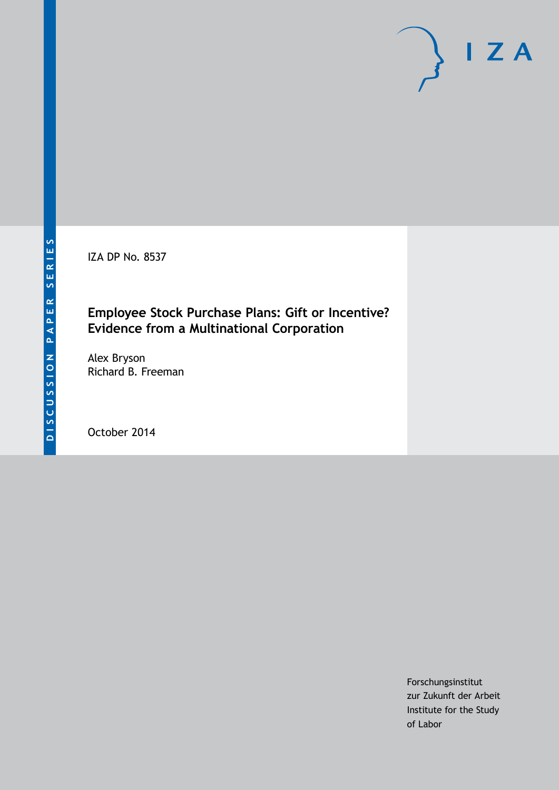IZA DP No. 8537

# **Employee Stock Purchase Plans: Gift or Incentive? Evidence from a Multinational Corporation**

Alex Bryson Richard B. Freeman

October 2014

Forschungsinstitut zur Zukunft der Arbeit Institute for the Study of Labor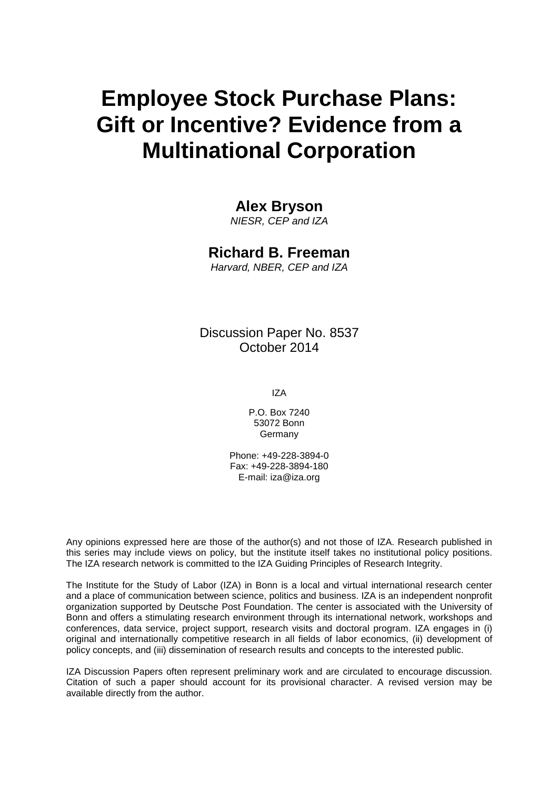# **Employee Stock Purchase Plans: Gift or Incentive? Evidence from a Multinational Corporation**

# **Alex Bryson**

*NIESR, CEP and IZA*

# **Richard B. Freeman**

*Harvard, NBER, CEP and IZA*

Discussion Paper No. 8537 October 2014

IZA

P.O. Box 7240 53072 Bonn Germany

Phone: +49-228-3894-0 Fax: +49-228-3894-180 E-mail: [iza@iza.org](mailto:iza@iza.org)

Any opinions expressed here are those of the author(s) and not those of IZA. Research published in this series may include views on policy, but the institute itself takes no institutional policy positions. The IZA research network is committed to the IZA Guiding Principles of Research Integrity.

The Institute for the Study of Labor (IZA) in Bonn is a local and virtual international research center and a place of communication between science, politics and business. IZA is an independent nonprofit organization supported by Deutsche Post Foundation. The center is associated with the University of Bonn and offers a stimulating research environment through its international network, workshops and conferences, data service, project support, research visits and doctoral program. IZA engages in (i) original and internationally competitive research in all fields of labor economics, (ii) development of policy concepts, and (iii) dissemination of research results and concepts to the interested public.

<span id="page-1-0"></span>IZA Discussion Papers often represent preliminary work and are circulated to encourage discussion. Citation of such a paper should account for its provisional character. A revised version may be available directly from the author.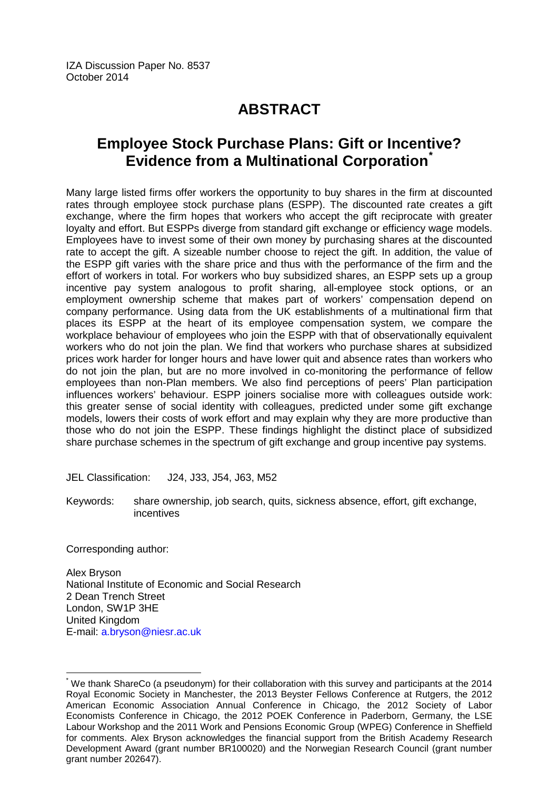# **ABSTRACT**

# **Employee Stock Purchase Plans: Gift or Incentive? Evidence from a Multinational Corporation[\\*](#page-1-0)**

Many large listed firms offer workers the opportunity to buy shares in the firm at discounted rates through employee stock purchase plans (ESPP). The discounted rate creates a gift exchange, where the firm hopes that workers who accept the gift reciprocate with greater loyalty and effort. But ESPPs diverge from standard gift exchange or efficiency wage models. Employees have to invest some of their own money by purchasing shares at the discounted rate to accept the gift. A sizeable number choose to reject the gift. In addition, the value of the ESPP gift varies with the share price and thus with the performance of the firm and the effort of workers in total. For workers who buy subsidized shares, an ESPP sets up a group incentive pay system analogous to profit sharing, all-employee stock options, or an employment ownership scheme that makes part of workers' compensation depend on company performance. Using data from the UK establishments of a multinational firm that places its ESPP at the heart of its employee compensation system, we compare the workplace behaviour of employees who join the ESPP with that of observationally equivalent workers who do not join the plan. We find that workers who purchase shares at subsidized prices work harder for longer hours and have lower quit and absence rates than workers who do not join the plan, but are no more involved in co-monitoring the performance of fellow employees than non-Plan members. We also find perceptions of peers' Plan participation influences workers' behaviour. ESPP joiners socialise more with colleagues outside work: this greater sense of social identity with colleagues, predicted under some gift exchange models, lowers their costs of work effort and may explain why they are more productive than those who do not join the ESPP. These findings highlight the distinct place of subsidized share purchase schemes in the spectrum of gift exchange and group incentive pay systems.

JEL Classification: J24, J33, J54, J63, M52

Keywords: share ownership, job search, quits, sickness absence, effort, gift exchange, incentives

Corresponding author:

Alex Bryson National Institute of Economic and Social Research 2 Dean Trench Street London, SW1P 3HE United Kingdom E-mail: [a.bryson@niesr.ac.uk](mailto:a.bryson@niesr.ac.uk)

We thank ShareCo (a pseudonym) for their collaboration with this survey and participants at the 2014 Royal Economic Society in Manchester, the 2013 Beyster Fellows Conference at Rutgers, the 2012 American Economic Association Annual Conference in Chicago, the 2012 Society of Labor Economists Conference in Chicago, the 2012 POEK Conference in Paderborn, Germany, the LSE Labour Workshop and the 2011 Work and Pensions Economic Group (WPEG) Conference in Sheffield for comments. Alex Bryson acknowledges the financial support from the British Academy Research Development Award (grant number BR100020) and the Norwegian Research Council (grant number grant number 202647).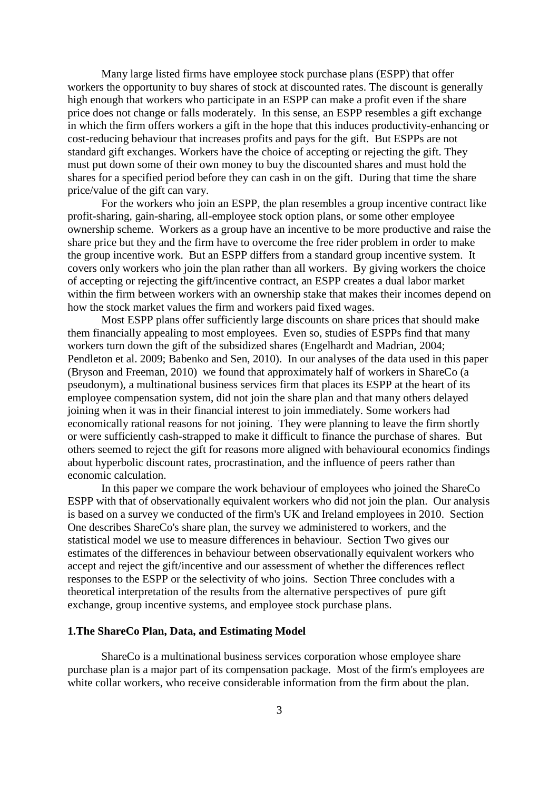Many large listed firms have employee stock purchase plans (ESPP) that offer workers the opportunity to buy shares of stock at discounted rates. The discount is generally high enough that workers who participate in an ESPP can make a profit even if the share price does not change or falls moderately. In this sense, an ESPP resembles a gift exchange in which the firm offers workers a gift in the hope that this induces productivity-enhancing or cost-reducing behaviour that increases profits and pays for the gift. But ESPPs are not standard gift exchanges. Workers have the choice of accepting or rejecting the gift. They must put down some of their own money to buy the discounted shares and must hold the shares for a specified period before they can cash in on the gift. During that time the share price/value of the gift can vary.

For the workers who join an ESPP, the plan resembles a group incentive contract like profit-sharing, gain-sharing, all-employee stock option plans, or some other employee ownership scheme. Workers as a group have an incentive to be more productive and raise the share price but they and the firm have to overcome the free rider problem in order to make the group incentive work. But an ESPP differs from a standard group incentive system. It covers only workers who join the plan rather than all workers. By giving workers the choice of accepting or rejecting the gift/incentive contract, an ESPP creates a dual labor market within the firm between workers with an ownership stake that makes their incomes depend on how the stock market values the firm and workers paid fixed wages.

Most ESPP plans offer sufficiently large discounts on share prices that should make them financially appealing to most employees. Even so, studies of ESPPs find that many workers turn down the gift of the subsidized shares (Engelhardt and Madrian, 2004; Pendleton et al. 2009; Babenko and Sen, 2010). In our analyses of the data used in this paper (Bryson and Freeman, 2010) we found that approximately half of workers in ShareCo (a pseudonym), a multinational business services firm that places its ESPP at the heart of its employee compensation system, did not join the share plan and that many others delayed joining when it was in their financial interest to join immediately. Some workers had economically rational reasons for not joining. They were planning to leave the firm shortly or were sufficiently cash-strapped to make it difficult to finance the purchase of shares. But others seemed to reject the gift for reasons more aligned with behavioural economics findings about hyperbolic discount rates, procrastination, and the influence of peers rather than economic calculation.

In this paper we compare the work behaviour of employees who joined the ShareCo ESPP with that of observationally equivalent workers who did not join the plan. Our analysis is based on a survey we conducted of the firm's UK and Ireland employees in 2010. Section One describes ShareCo's share plan, the survey we administered to workers, and the statistical model we use to measure differences in behaviour. Section Two gives our estimates of the differences in behaviour between observationally equivalent workers who accept and reject the gift/incentive and our assessment of whether the differences reflect responses to the ESPP or the selectivity of who joins. Section Three concludes with a theoretical interpretation of the results from the alternative perspectives of pure gift exchange, group incentive systems, and employee stock purchase plans.

# **1.The ShareCo Plan, Data, and Estimating Model**

ShareCo is a multinational business services corporation whose employee share purchase plan is a major part of its compensation package. Most of the firm's employees are white collar workers, who receive considerable information from the firm about the plan.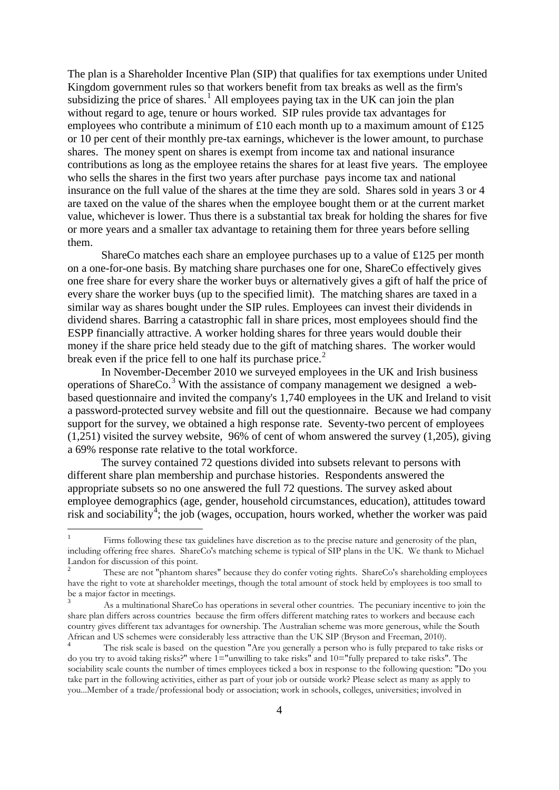The plan is a Shareholder Incentive Plan (SIP) that qualifies for tax exemptions under United Kingdom government rules so that workers benefit from tax breaks as well as the firm's subsidizing the price of shares.<sup>[1](#page-17-0)</sup> All employees paying tax in the UK can join the plan without regard to age, tenure or hours worked. SIP rules provide tax advantages for employees who contribute a minimum of £10 each month up to a maximum amount of £125 or 10 per cent of their monthly pre-tax earnings, whichever is the lower amount, to purchase shares. The money spent on shares is exempt from income tax and national insurance contributions as long as the employee retains the shares for at least five years. The employee who sells the shares in the first two years after purchase pays income tax and national insurance on the full value of the shares at the time they are sold. Shares sold in years 3 or 4 are taxed on the value of the shares when the employee bought them or at the current market value, whichever is lower. Thus there is a substantial tax break for holding the shares for five or more years and a smaller tax advantage to retaining them for three years before selling them.

ShareCo matches each share an employee purchases up to a value of £125 per month on a one-for-one basis. By matching share purchases one for one, ShareCo effectively gives one free share for every share the worker buys or alternatively gives a gift of half the price of every share the worker buys (up to the specified limit). The matching shares are taxed in a similar way as shares bought under the SIP rules. Employees can invest their dividends in dividend shares. Barring a catastrophic fall in share prices, most employees should find the ESPP financially attractive. A worker holding shares for three years would double their money if the share price held steady due to the gift of matching shares. The worker would break even if the price fell to one half its purchase price.<sup>[2](#page-4-0)</sup>

In November-December 2010 we surveyed employees in the UK and Irish business operations of ShareCo.[3](#page-4-1) With the assistance of company management we designed a webbased questionnaire and invited the company's 1,740 employees in the UK and Ireland to visit a password-protected survey website and fill out the questionnaire. Because we had company support for the survey, we obtained a high response rate. Seventy-two percent of employees (1,251) visited the survey website, 96% of cent of whom answered the survey (1,205), giving a 69% response rate relative to the total workforce.

The survey contained 72 questions divided into subsets relevant to persons with different share plan membership and purchase histories. Respondents answered the appropriate subsets so no one answered the full 72 questions. The survey asked about employee demographics (age, gender, household circumstances, education), attitudes toward risk and sociability<sup>[4](#page-4-2)</sup>; the job (wages, occupation, hours worked, whether the worker was paid

Firms following these tax guidelines have discretion as to the precise nature and generosity of the plan, including offering free shares. ShareCo's matching scheme is typical of SIP plans in the UK. We thank to Michael Landon for discussion of this point.

<span id="page-4-3"></span><span id="page-4-0"></span><sup>2</sup> These are not "phantom shares" because they do confer voting rights. ShareCo's shareholding employees have the right to vote at shareholder meetings, though the total amount of stock held by employees is too small to be a major factor in meetings.

<span id="page-4-1"></span>As a multinational ShareCo has operations in several other countries. The pecuniary incentive to join the share plan differs across countries because the firm offers different matching rates to workers and because each country gives different tax advantages for ownership. The Australian scheme was more generous, while the South African and US schemes were considerably less attractive than the UK SIP (Bryson and Freeman, 2010).

<span id="page-4-2"></span><sup>4</sup> The risk scale is based on the question "Are you generally a person who is fully prepared to take risks or do you try to avoid taking risks?" where  $1 =$ "unwilling to take risks" and  $10 =$ "fully prepared to take risks". The sociability scale counts the number of times employees ticked a box in response to the following question: "Do you take part in the following activities, either as part of your job or outside work? Please select as many as apply to you...Member of a trade/professional body or association; work in schools, colleges, universities; involved in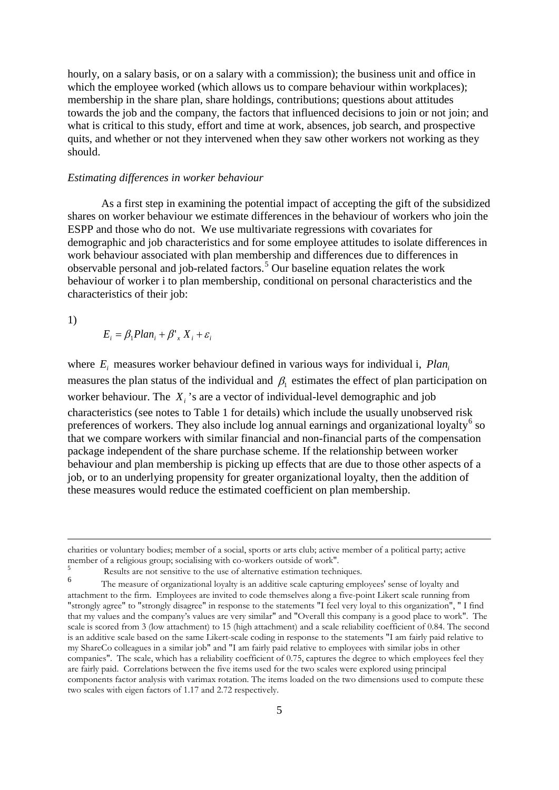hourly, on a salary basis, or on a salary with a commission); the business unit and office in which the employee worked (which allows us to compare behaviour within workplaces); membership in the share plan, share holdings, contributions; questions about attitudes towards the job and the company, the factors that influenced decisions to join or not join; and what is critical to this study, effort and time at work, absences, job search, and prospective quits, and whether or not they intervened when they saw other workers not working as they should.

#### *Estimating differences in worker behaviour*

As a first step in examining the potential impact of accepting the gift of the subsidized shares on worker behaviour we estimate differences in the behaviour of workers who join the ESPP and those who do not. We use multivariate regressions with covariates for demographic and job characteristics and for some employee attitudes to isolate differences in work behaviour associated with plan membership and differences due to differences in observable personal and job-related factors.[5](#page-4-3) Our baseline equation relates the work behaviour of worker i to plan membership, conditional on personal characteristics and the characteristics of their job:

1)

<u>.</u>

$$
E_i = \beta_1 Plan_i + \beta'_{x} X_i + \varepsilon_i
$$

where  $E_i$  measures worker behaviour defined in various ways for individual i,  $Plan_i$ measures the plan status of the individual and  $\beta_1$  estimates the effect of plan participation on worker behaviour. The *X<sub>i</sub>*'s are a vector of individual-level demographic and job characteristics (see notes to Table 1 for details) which include the usually unobserved risk preferences of workers. They also include log annual earnings and organizational loyalty<sup>[6](#page-5-0)</sup> so that we compare workers with similar financial and non-financial parts of the compensation package independent of the share purchase scheme. If the relationship between worker behaviour and plan membership is picking up effects that are due to those other aspects of a job, or to an underlying propensity for greater organizational loyalty, then the addition of these measures would reduce the estimated coefficient on plan membership.

charities or voluntary bodies; member of a social, sports or arts club; active member of a political party; active member of a religious group; socialising with co-workers outside of work".

 $5$  Results are not sensitive to the use of alternative estimation techniques.

<span id="page-5-1"></span><span id="page-5-0"></span>The measure of organizational loyalty is an additive scale capturing employees' sense of loyalty and attachment to the firm. Employees are invited to code themselves along a five-point Likert scale running from "strongly agree" to "strongly disagree" in response to the statements "I feel very loyal to this organization", " I find that my values and the company's values are very similar" and "Overall this company is a good place to work". The scale is scored from 3 (low attachment) to 15 (high attachment) and a scale reliability coefficient of 0.84. The second is an additive scale based on the same Likert-scale coding in response to the statements "I am fairly paid relative to my ShareCo colleagues in a similar job" and "I am fairly paid relative to employees with similar jobs in other companies". The scale, which has a reliability coefficient of 0.75, captures the degree to which employees feel they are fairly paid. Correlations between the five items used for the two scales were explored using principal components factor analysis with varimax rotation. The items loaded on the two dimensions used to compute these two scales with eigen factors of 1.17 and 2.72 respectively.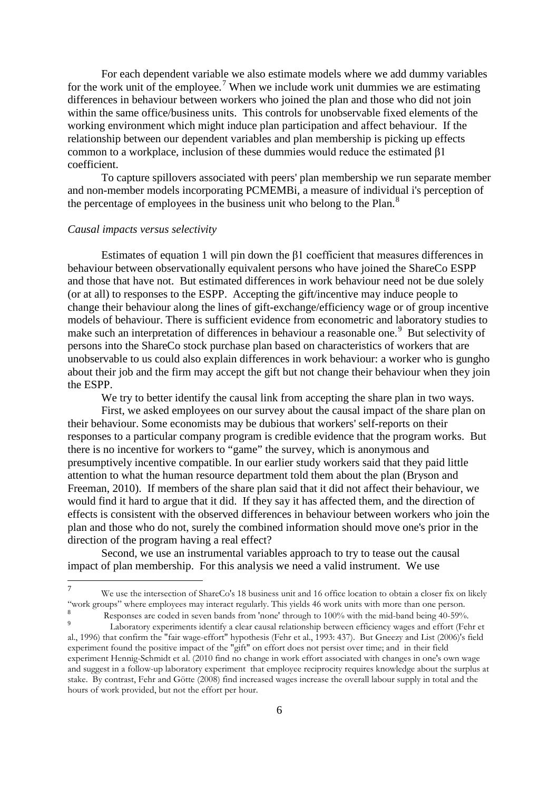For each dependent variable we also estimate models where we add dummy variables for the work unit of the employee.<sup>[7](#page-5-1)</sup> When we include work unit dummies we are estimating differences in behaviour between workers who joined the plan and those who did not join within the same office/business units. This controls for unobservable fixed elements of the working environment which might induce plan participation and affect behaviour. If the relationship between our dependent variables and plan membership is picking up effects common to a workplace, inclusion of these dummies would reduce the estimated β1 coefficient.

To capture spillovers associated with peers' plan membership we run separate member and non-member models incorporating PCMEMBi, a measure of individual i's perception of the percentage of employees in the business unit who belong to the Plan. $8$ 

#### *Causal impacts versus selectivity*

Estimates of equation 1 will pin down the β1 coefficient that measures differences in behaviour between observationally equivalent persons who have joined the ShareCo ESPP and those that have not. But estimated differences in work behaviour need not be due solely (or at all) to responses to the ESPP. Accepting the gift/incentive may induce people to change their behaviour along the lines of gift-exchange/efficiency wage or of group incentive models of behaviour. There is sufficient evidence from econometric and laboratory studies to make such an interpretation of differences in behaviour a reasonable one.<sup>[9](#page-6-1)</sup> But selectivity of persons into the ShareCo stock purchase plan based on characteristics of workers that are unobservable to us could also explain differences in work behaviour: a worker who is gungho about their job and the firm may accept the gift but not change their behaviour when they join the ESPP.

We try to better identify the causal link from accepting the share plan in two ways. First, we asked employees on our survey about the causal impact of the share plan on their behaviour. Some economists may be dubious that workers' self-reports on their responses to a particular company program is credible evidence that the program works. But there is no incentive for workers to "game" the survey, which is anonymous and presumptively incentive compatible. In our earlier study workers said that they paid little attention to what the human resource department told them about the plan (Bryson and Freeman, 2010). If members of the share plan said that it did not affect their behaviour, we would find it hard to argue that it did. If they say it has affected them, and the direction of effects is consistent with the observed differences in behaviour between workers who join the plan and those who do not, surely the combined information should move one's prior in the direction of the program having a real effect?

Second, we use an instrumental variables approach to try to tease out the causal impact of plan membership. For this analysis we need a valid instrument. We use

 <sup>7</sup> We use the intersection of ShareCo's 18 business unit and 16 office location to obtain a closer fix on likely "work groups" where employees may interact regularly. This yields 46 work units with more than one person. <sup>8</sup><br>Responses are coded in seven bands from 'none' through to 100% with the mid-band being 40-59%.

<span id="page-6-2"></span><span id="page-6-1"></span><span id="page-6-0"></span>Laboratory experiments identify a clear causal relationship between efficiency wages and effort (Fehr et al., 1996) that confirm the "fair wage-effort" hypothesis (Fehr et al., 1993: 437). But Gneezy and List (2006)'s field experiment found the positive impact of the "gift" on effort does not persist over time; and in their field experiment Hennig-Schmidt et al. (2010 find no change in work effort associated with changes in one's own wage and suggest in a follow-up laboratory experiment that employee reciprocity requires knowledge about the surplus at stake. By contrast, Fehr and Götte (2008) find increased wages increase the overall labour supply in total and the hours of work provided, but not the effort per hour.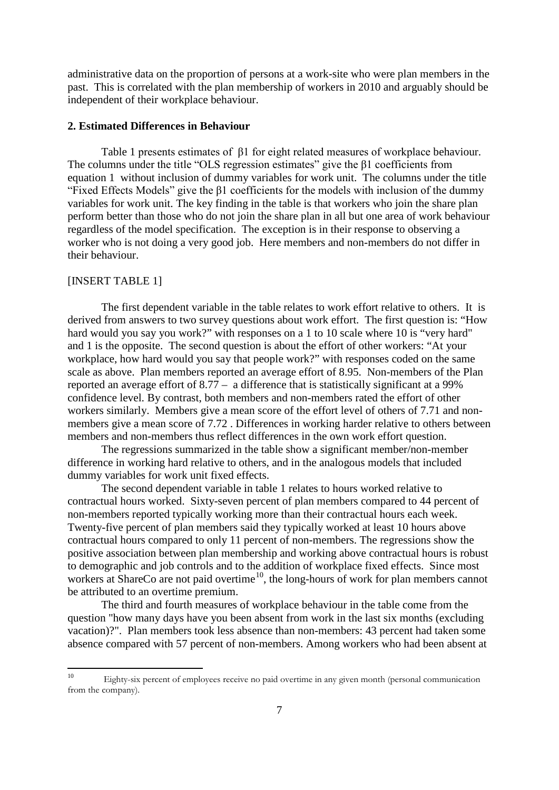administrative data on the proportion of persons at a work-site who were plan members in the past. This is correlated with the plan membership of workers in 2010 and arguably should be independent of their workplace behaviour.

### **2. Estimated Differences in Behaviour**

Table 1 presents estimates of β1 for eight related measures of workplace behaviour. The columns under the title "OLS regression estimates" give the β1 coefficients from equation 1 without inclusion of dummy variables for work unit. The columns under the title "Fixed Effects Models" give the β1 coefficients for the models with inclusion of the dummy variables for work unit. The key finding in the table is that workers who join the share plan perform better than those who do not join the share plan in all but one area of work behaviour regardless of the model specification. The exception is in their response to observing a worker who is not doing a very good job. Here members and non-members do not differ in their behaviour.

### [INSERT TABLE 1]

The first dependent variable in the table relates to work effort relative to others. It is derived from answers to two survey questions about work effort. The first question is: "How hard would you say you work?" with responses on a 1 to 10 scale where 10 is "very hard" and 1 is the opposite. The second question is about the effort of other workers: "At your workplace, how hard would you say that people work?" with responses coded on the same scale as above. Plan members reported an average effort of 8.95. Non-members of the Plan reported an average effort of 8.77 – a difference that is statistically significant at a 99% confidence level. By contrast, both members and non-members rated the effort of other workers similarly. Members give a mean score of the effort level of others of 7.71 and nonmembers give a mean score of 7.72 . Differences in working harder relative to others between members and non-members thus reflect differences in the own work effort question.

The regressions summarized in the table show a significant member/non-member difference in working hard relative to others, and in the analogous models that included dummy variables for work unit fixed effects.

 The second dependent variable in table 1 relates to hours worked relative to contractual hours worked. Sixty-seven percent of plan members compared to 44 percent of non-members reported typically working more than their contractual hours each week. Twenty-five percent of plan members said they typically worked at least 10 hours above contractual hours compared to only 11 percent of non-members. The regressions show the positive association between plan membership and working above contractual hours is robust to demographic and job controls and to the addition of workplace fixed effects. Since most workers at ShareCo are not paid overtime<sup>10</sup>, the long-hours of work for plan members cannot be attributed to an overtime premium.

The third and fourth measures of workplace behaviour in the table come from the question "how many days have you been absent from work in the last six months (excluding vacation)?". Plan members took less absence than non-members: 43 percent had taken some absence compared with 57 percent of non-members. Among workers who had been absent at

<span id="page-7-0"></span> <sup>10</sup> Eighty-six percent of employees receive no paid overtime in any given month (personal communication from the company).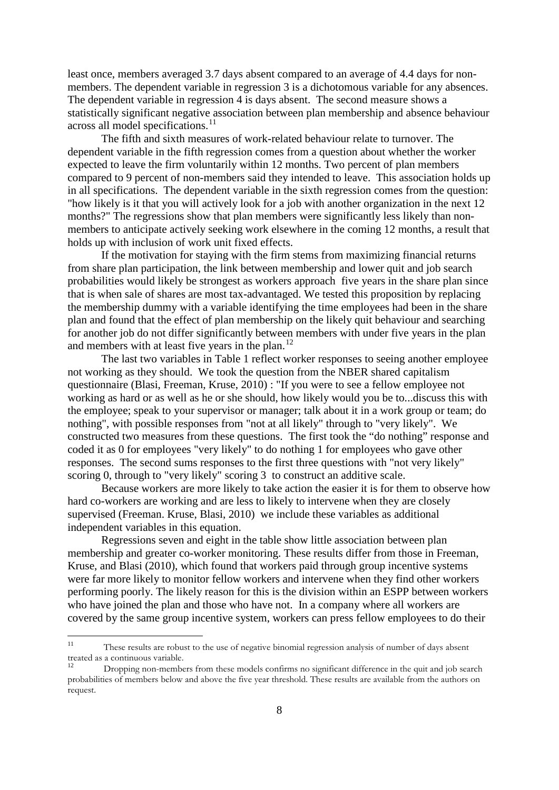least once, members averaged 3.7 days absent compared to an average of 4.4 days for nonmembers. The dependent variable in regression 3 is a dichotomous variable for any absences. The dependent variable in regression 4 is days absent. The second measure shows a statistically significant negative association between plan membership and absence behaviour across all model specifications.<sup>[11](#page-7-0)</sup>

The fifth and sixth measures of work-related behaviour relate to turnover. The dependent variable in the fifth regression comes from a question about whether the worker expected to leave the firm voluntarily within 12 months. Two percent of plan members compared to 9 percent of non-members said they intended to leave. This association holds up in all specifications. The dependent variable in the sixth regression comes from the question: "how likely is it that you will actively look for a job with another organization in the next 12 months?" The regressions show that plan members were significantly less likely than nonmembers to anticipate actively seeking work elsewhere in the coming 12 months, a result that holds up with inclusion of work unit fixed effects.

If the motivation for staying with the firm stems from maximizing financial returns from share plan participation, the link between membership and lower quit and job search probabilities would likely be strongest as workers approach five years in the share plan since that is when sale of shares are most tax-advantaged. We tested this proposition by replacing the membership dummy with a variable identifying the time employees had been in the share plan and found that the effect of plan membership on the likely quit behaviour and searching for another job do not differ significantly between members with under five years in the plan and members with at least five years in the plan.<sup>[12](#page-8-0)</sup>

The last two variables in Table 1 reflect worker responses to seeing another employee not working as they should. We took the question from the NBER shared capitalism questionnaire (Blasi, Freeman, Kruse, 2010) : "If you were to see a fellow employee not working as hard or as well as he or she should, how likely would you be to...discuss this with the employee; speak to your supervisor or manager; talk about it in a work group or team; do nothing", with possible responses from "not at all likely" through to "very likely". We constructed two measures from these questions. The first took the "do nothing" response and coded it as 0 for employees "very likely" to do nothing 1 for employees who gave other responses. The second sums responses to the first three questions with "not very likely" scoring 0, through to "very likely" scoring 3 to construct an additive scale.

Because workers are more likely to take action the easier it is for them to observe how hard co-workers are working and are less to likely to intervene when they are closely supervised (Freeman. Kruse, Blasi, 2010) we include these variables as additional independent variables in this equation.

Regressions seven and eight in the table show little association between plan membership and greater co-worker monitoring. These results differ from those in Freeman, Kruse, and Blasi (2010), which found that workers paid through group incentive systems were far more likely to monitor fellow workers and intervene when they find other workers performing poorly. The likely reason for this is the division within an ESPP between workers who have joined the plan and those who have not. In a company where all workers are covered by the same group incentive system, workers can press fellow employees to do their

<sup>&</sup>lt;sup>11</sup> These results are robust to the use of negative binomial regression analysis of number of days absent treated as a continuous variable.

<span id="page-8-1"></span><span id="page-8-0"></span>Dropping non-members from these models confirms no significant difference in the quit and job search probabilities of members below and above the five year threshold. These results are available from the authors on request.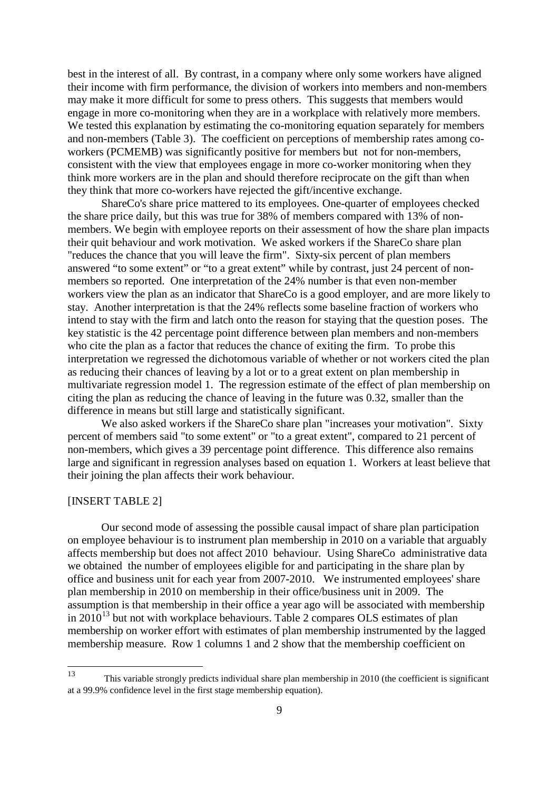best in the interest of all. By contrast, in a company where only some workers have aligned their income with firm performance, the division of workers into members and non-members may make it more difficult for some to press others. This suggests that members would engage in more co-monitoring when they are in a workplace with relatively more members. We tested this explanation by estimating the co-monitoring equation separately for members and non-members (Table 3). The coefficient on perceptions of membership rates among coworkers (PCMEMB) was significantly positive for members but not for non-members, consistent with the view that employees engage in more co-worker monitoring when they think more workers are in the plan and should therefore reciprocate on the gift than when they think that more co-workers have rejected the gift/incentive exchange.

ShareCo's share price mattered to its employees. One-quarter of employees checked the share price daily, but this was true for 38% of members compared with 13% of nonmembers. We begin with employee reports on their assessment of how the share plan impacts their quit behaviour and work motivation. We asked workers if the ShareCo share plan "reduces the chance that you will leave the firm". Sixty-six percent of plan members answered "to some extent" or "to a great extent" while by contrast, just 24 percent of nonmembers so reported. One interpretation of the 24% number is that even non-member workers view the plan as an indicator that ShareCo is a good employer, and are more likely to stay. Another interpretation is that the 24% reflects some baseline fraction of workers who intend to stay with the firm and latch onto the reason for staying that the question poses. The key statistic is the 42 percentage point difference between plan members and non-members who cite the plan as a factor that reduces the chance of exiting the firm. To probe this interpretation we regressed the dichotomous variable of whether or not workers cited the plan as reducing their chances of leaving by a lot or to a great extent on plan membership in multivariate regression model 1. The regression estimate of the effect of plan membership on citing the plan as reducing the chance of leaving in the future was 0.32, smaller than the difference in means but still large and statistically significant.

We also asked workers if the ShareCo share plan "increases your motivation". Sixty percent of members said "to some extent" or "to a great extent", compared to 21 percent of non-members, which gives a 39 percentage point difference. This difference also remains large and significant in regression analyses based on equation 1. Workers at least believe that their joining the plan affects their work behaviour.

# [INSERT TABLE 2]

Our second mode of assessing the possible causal impact of share plan participation on employee behaviour is to instrument plan membership in 2010 on a variable that arguably affects membership but does not affect 2010 behaviour. Using ShareCo administrative data we obtained the number of employees eligible for and participating in the share plan by office and business unit for each year from 2007-2010. We instrumented employees' share plan membership in 2010 on membership in their office/business unit in 2009. The assumption is that membership in their office a year ago will be associated with membership in  $2010^{13}$  $2010^{13}$  $2010^{13}$  but not with workplace behaviours. Table 2 compares OLS estimates of plan membership on worker effort with estimates of plan membership instrumented by the lagged membership measure. Row 1 columns 1 and 2 show that the membership coefficient on

<span id="page-9-0"></span> <sup>13</sup> This variable strongly predicts individual share plan membership in 2010 (the coefficient is significant at a 99.9% confidence level in the first stage membership equation).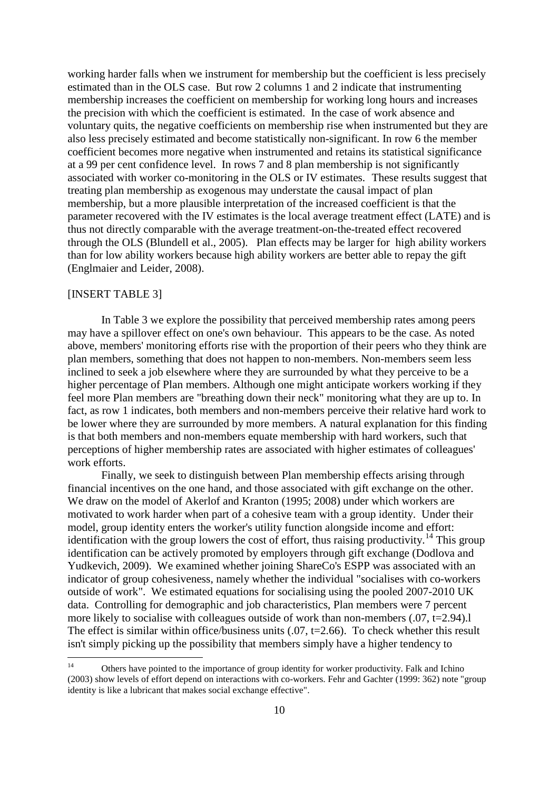working harder falls when we instrument for membership but the coefficient is less precisely estimated than in the OLS case. But row 2 columns 1 and 2 indicate that instrumenting membership increases the coefficient on membership for working long hours and increases the precision with which the coefficient is estimated. In the case of work absence and voluntary quits, the negative coefficients on membership rise when instrumented but they are also less precisely estimated and become statistically non-significant. In row 6 the member coefficient becomes more negative when instrumented and retains its statistical significance at a 99 per cent confidence level. In rows 7 and 8 plan membership is not significantly associated with worker co-monitoring in the OLS or IV estimates. These results suggest that treating plan membership as exogenous may understate the causal impact of plan membership, but a more plausible interpretation of the increased coefficient is that the parameter recovered with the IV estimates is the local average treatment effect (LATE) and is thus not directly comparable with the average treatment-on-the-treated effect recovered through the OLS (Blundell et al., 2005). Plan effects may be larger for high ability workers than for low ability workers because high ability workers are better able to repay the gift (Englmaier and Leider, 2008).

# [INSERT TABLE 3]

In Table 3 we explore the possibility that perceived membership rates among peers may have a spillover effect on one's own behaviour. This appears to be the case. As noted above, members' monitoring efforts rise with the proportion of their peers who they think are plan members, something that does not happen to non-members. Non-members seem less inclined to seek a job elsewhere where they are surrounded by what they perceive to be a higher percentage of Plan members. Although one might anticipate workers working if they feel more Plan members are "breathing down their neck" monitoring what they are up to. In fact, as row 1 indicates, both members and non-members perceive their relative hard work to be lower where they are surrounded by more members. A natural explanation for this finding is that both members and non-members equate membership with hard workers, such that perceptions of higher membership rates are associated with higher estimates of colleagues' work efforts.

Finally, we seek to distinguish between Plan membership effects arising through financial incentives on the one hand, and those associated with gift exchange on the other. We draw on the model of Akerlof and Kranton (1995; 2008) under which workers are motivated to work harder when part of a cohesive team with a group identity. Under their model, group identity enters the worker's utility function alongside income and effort: identification with the group lowers the cost of effort, thus raising productivity.<sup>[14](#page-9-0)</sup> This group identification can be actively promoted by employers through gift exchange (Dodlova and Yudkevich, 2009). We examined whether joining ShareCo's ESPP was associated with an indicator of group cohesiveness, namely whether the individual "socialises with co-workers outside of work". We estimated equations for socialising using the pooled 2007-2010 UK data. Controlling for demographic and job characteristics, Plan members were 7 percent more likely to socialise with colleagues outside of work than non-members  $(.07, t=2.94).$ The effect is similar within office/business units  $(0.07, t=2.66)$ . To check whether this result isn't simply picking up the possibility that members simply have a higher tendency to

<span id="page-10-0"></span><sup>&</sup>lt;sup>14</sup> Others have pointed to the importance of group identity for worker productivity. Falk and Ichino (2003) show levels of effort depend on interactions with co-workers. Fehr and Gachter (1999: 362) note "group identity is like a lubricant that makes social exchange effective".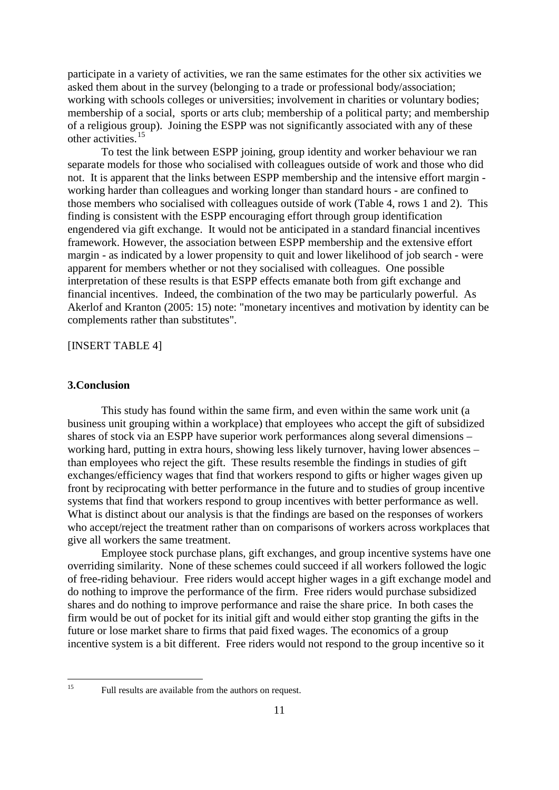participate in a variety of activities, we ran the same estimates for the other six activities we asked them about in the survey (belonging to a trade or professional body/association; working with schools colleges or universities; involvement in charities or voluntary bodies; membership of a social, sports or arts club; membership of a political party; and membership of a religious group). Joining the ESPP was not significantly associated with any of these other activities.<sup>[15](#page-10-0)</sup>

To test the link between ESPP joining, group identity and worker behaviour we ran separate models for those who socialised with colleagues outside of work and those who did not. It is apparent that the links between ESPP membership and the intensive effort margin working harder than colleagues and working longer than standard hours - are confined to those members who socialised with colleagues outside of work (Table 4, rows 1 and 2). This finding is consistent with the ESPP encouraging effort through group identification engendered via gift exchange. It would not be anticipated in a standard financial incentives framework. However, the association between ESPP membership and the extensive effort margin - as indicated by a lower propensity to quit and lower likelihood of job search - were apparent for members whether or not they socialised with colleagues. One possible interpretation of these results is that ESPP effects emanate both from gift exchange and financial incentives. Indeed, the combination of the two may be particularly powerful. As Akerlof and Kranton (2005: 15) note: "monetary incentives and motivation by identity can be complements rather than substitutes".

## [INSERT TABLE 4]

# **3.Conclusion**

This study has found within the same firm, and even within the same work unit (a business unit grouping within a workplace) that employees who accept the gift of subsidized shares of stock via an ESPP have superior work performances along several dimensions – working hard, putting in extra hours, showing less likely turnover, having lower absences – than employees who reject the gift. These results resemble the findings in studies of gift exchanges/efficiency wages that find that workers respond to gifts or higher wages given up front by reciprocating with better performance in the future and to studies of group incentive systems that find that workers respond to group incentives with better performance as well. What is distinct about our analysis is that the findings are based on the responses of workers who accept/reject the treatment rather than on comparisons of workers across workplaces that give all workers the same treatment.

Employee stock purchase plans, gift exchanges, and group incentive systems have one overriding similarity. None of these schemes could succeed if all workers followed the logic of free-riding behaviour. Free riders would accept higher wages in a gift exchange model and do nothing to improve the performance of the firm. Free riders would purchase subsidized shares and do nothing to improve performance and raise the share price. In both cases the firm would be out of pocket for its initial gift and would either stop granting the gifts in the future or lose market share to firms that paid fixed wages. The economics of a group incentive system is a bit different. Free riders would not respond to the group incentive so it

<sup>&</sup>lt;sup>15</sup> Full results are available from the authors on request.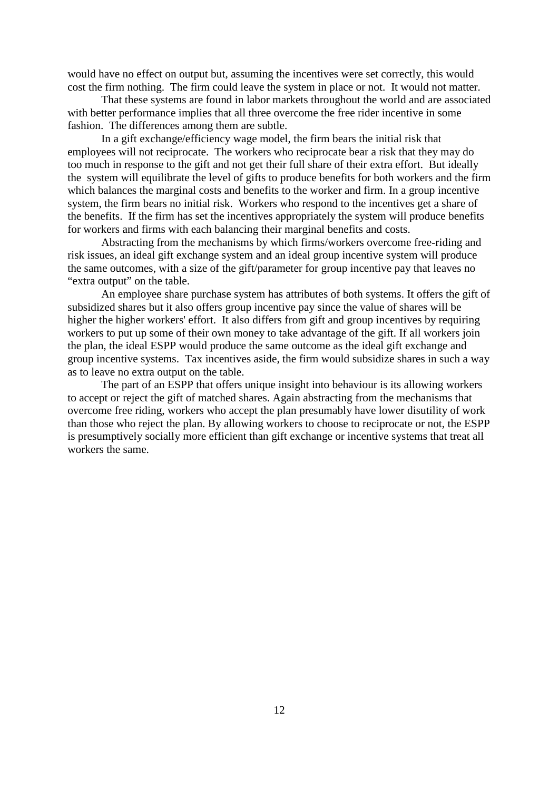would have no effect on output but, assuming the incentives were set correctly, this would cost the firm nothing. The firm could leave the system in place or not. It would not matter.

That these systems are found in labor markets throughout the world and are associated with better performance implies that all three overcome the free rider incentive in some fashion. The differences among them are subtle.

In a gift exchange/efficiency wage model, the firm bears the initial risk that employees will not reciprocate. The workers who reciprocate bear a risk that they may do too much in response to the gift and not get their full share of their extra effort. But ideally the system will equilibrate the level of gifts to produce benefits for both workers and the firm which balances the marginal costs and benefits to the worker and firm. In a group incentive system, the firm bears no initial risk. Workers who respond to the incentives get a share of the benefits. If the firm has set the incentives appropriately the system will produce benefits for workers and firms with each balancing their marginal benefits and costs.

Abstracting from the mechanisms by which firms/workers overcome free-riding and risk issues, an ideal gift exchange system and an ideal group incentive system will produce the same outcomes, with a size of the gift/parameter for group incentive pay that leaves no "extra output" on the table.

An employee share purchase system has attributes of both systems. It offers the gift of subsidized shares but it also offers group incentive pay since the value of shares will be higher the higher workers' effort. It also differs from gift and group incentives by requiring workers to put up some of their own money to take advantage of the gift. If all workers join the plan, the ideal ESPP would produce the same outcome as the ideal gift exchange and group incentive systems. Tax incentives aside, the firm would subsidize shares in such a way as to leave no extra output on the table.

The part of an ESPP that offers unique insight into behaviour is its allowing workers to accept or reject the gift of matched shares. Again abstracting from the mechanisms that overcome free riding, workers who accept the plan presumably have lower disutility of work than those who reject the plan. By allowing workers to choose to reciprocate or not, the ESPP is presumptively socially more efficient than gift exchange or incentive systems that treat all workers the same.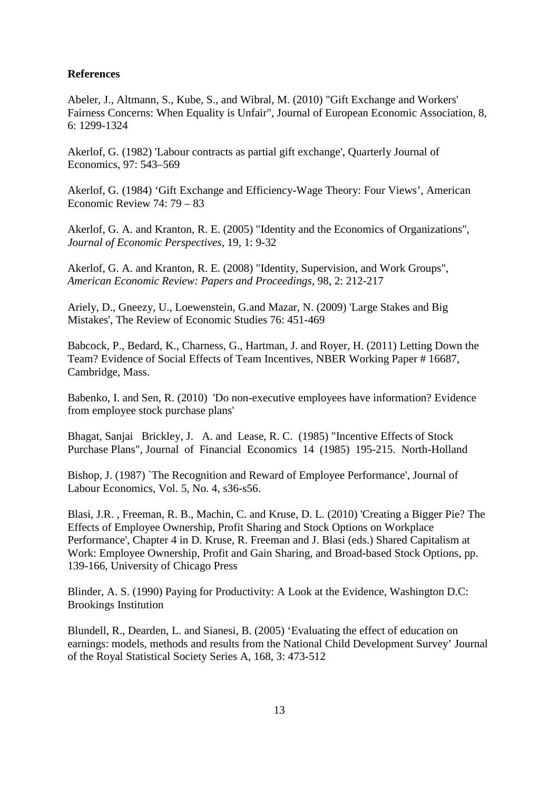# **References**

Abeler, J., Altmann, S., Kube, S., and Wibral, M. (2010) "Gift Exchange and Workers' Fairness Concerns: When Equality is Unfair", Journal of European Economic Association, 8, 6: 1299-1324

Akerlof, G. (1982) 'Labour contracts as partial gift exchange', Quarterly Journal of Economics, 97: 543–569

Akerlof, G. (1984) 'Gift Exchange and Efficiency-Wage Theory: Four Views', American Economic Review 74: 79 – 83

Akerlof, G. A. and Kranton, R. E. (2005) "Identity and the Economics of Organizations", *Journal of Economic Perspectives*, 19, 1: 9-32

Akerlof, G. A. and Kranton, R. E. (2008) "Identity, Supervision, and Work Groups", *American Economic Review: Papers and Proceedings*, 98, 2: 212-217

Ariely, D., Gneezy, U., Loewenstein, G.and Mazar, N. (2009) 'Large Stakes and Big Mistakes', The Review of Economic Studies 76: 451-469

Babcock, P., Bedard, K., Charness, G., Hartman, J. and Royer, H. (2011) Letting Down the Team? Evidence of Social Effects of Team Incentives, NBER Working Paper # 16687, Cambridge, Mass.

Babenko, I. and Sen, R. (2010) 'Do non-executive employees have information? Evidence from employee stock purchase plans'

Bhagat, Sanjai Brickley, J. A. and Lease, R. C. (1985) "Incentive Effects of Stock Purchase Plans", Journal of Financial Economics 14 (1985) 195-215. North-Holland

Bishop, J. (1987) `The Recognition and Reward of Employee Performance', Journal of Labour Economics, Vol. 5, No. 4, s36-s56.

Blasi, J.R. , Freeman, R. B., Machin, C. and Kruse, D. L. (2010) 'Creating a Bigger Pie? The Effects of Employee Ownership, Profit Sharing and Stock Options on Workplace Performance', Chapter 4 in D. Kruse, R. Freeman and J. Blasi (eds.) Shared Capitalism at Work: Employee Ownership, Profit and Gain Sharing, and Broad-based Stock Options, pp. 139-166, University of Chicago Press

Blinder, A. S. (1990) Paying for Productivity: A Look at the Evidence, Washington D.C: Brookings Institution

Blundell, R., Dearden, L. and Sianesi, B. (2005) 'Evaluating the effect of education on earnings: models, methods and results from the National Child Development Survey' Journal of the Royal Statistical Society Series A, 168, 3: 473-512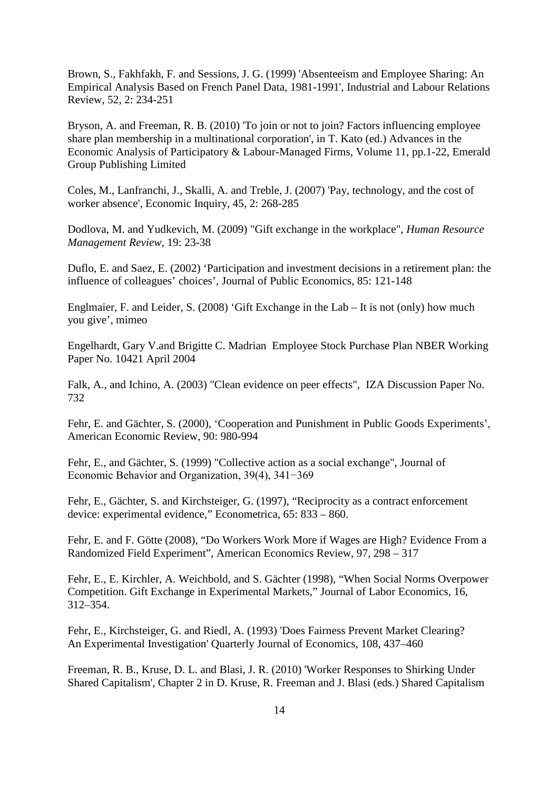Brown, S., Fakhfakh, F. and Sessions, J. G. (1999) 'Absenteeism and Employee Sharing: An Empirical Analysis Based on French Panel Data, 1981-1991', Industrial and Labour Relations Review, 52, 2: 234-251

Bryson, A. and Freeman, R. B. (2010) 'To join or not to join? Factors influencing employee share plan membership in a multinational corporation', in T. Kato (ed.) Advances in the Economic Analysis of Participatory & Labour-Managed Firms, Volume 11, pp.1-22, Emerald Group Publishing Limited

Coles, M., Lanfranchi, J., Skalli, A. and Treble, J. (2007) 'Pay, technology, and the cost of worker absence', Economic Inquiry, 45, 2: 268-285

Dodlova, M. and Yudkevich, M. (2009) "Gift exchange in the workplace", *Human Resource Management Review*, 19: 23-38

Duflo, E. and Saez, E. (2002) 'Participation and investment decisions in a retirement plan: the influence of colleagues' choices', Journal of Public Economics, 85: 121-148

Englmaier, F. and Leider, S. (2008) 'Gift Exchange in the Lab – It is not (only) how much you give', mimeo

Engelhardt, Gary V.and Brigitte C. Madrian Employee Stock Purchase Plan NBER Working Paper No. 10421 April 2004

Falk, A., and Ichino, A. (2003) "Clean evidence on peer effects", IZA Discussion Paper No. 732

Fehr, E. and Gächter, S. (2000), 'Cooperation and Punishment in Public Goods Experiments', American Economic Review, 90: 980-994

Fehr, E., and Gächter, S. (1999) "Collective action as a social exchange", Journal of Economic Behavior and Organization, 39(4), 341−369

Fehr, E., Gächter, S. and Kirchsteiger, G. (1997), "Reciprocity as a contract enforcement device: experimental evidence," Econometrica, 65: 833 – 860.

Fehr, E. and F. Götte (2008), "Do Workers Work More if Wages are High? Evidence From a Randomized Field Experiment", American Economics Review, 97, 298 – 317

Fehr, E., E. Kirchler, A. Weichbold, and S. Gächter (1998), "When Social Norms Overpower Competition. Gift Exchange in Experimental Markets," Journal of Labor Economics, 16, 312–354.

Fehr, E., Kirchsteiger, G. and Riedl, A. (1993) 'Does Fairness Prevent Market Clearing? An Experimental Investigation' Quarterly Journal of Economics, 108, 437–460

Freeman, R. B., Kruse, D. L. and Blasi, J. R. (2010) 'Worker Responses to Shirking Under Shared Capitalism', Chapter 2 in D. Kruse, R. Freeman and J. Blasi (eds.) Shared Capitalism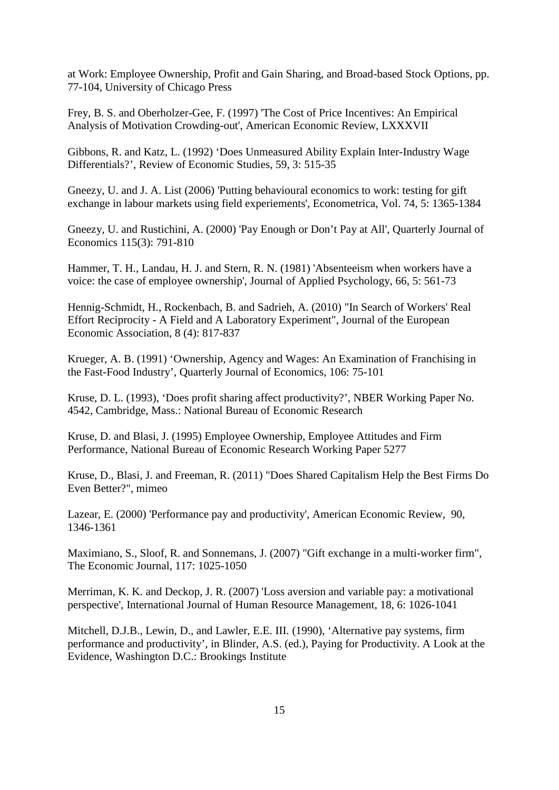at Work: Employee Ownership, Profit and Gain Sharing, and Broad-based Stock Options, pp. 77-104, University of Chicago Press

Frey, B. S. and Oberholzer-Gee, F. (1997) 'The Cost of Price Incentives: An Empirical Analysis of Motivation Crowding-out', American Economic Review, LXXXVII

Gibbons, R. and Katz, L. (1992) 'Does Unmeasured Ability Explain Inter-Industry Wage Differentials?', Review of Economic Studies, 59, 3: 515-35

Gneezy, U. and J. A. List (2006) 'Putting behavioural economics to work: testing for gift exchange in labour markets using field experiements', Econometrica, Vol. 74, 5: 1365-1384

Gneezy, U. and Rustichini, A. (2000) 'Pay Enough or Don't Pay at All', Quarterly Journal of Economics 115(3): 791-810

Hammer, T. H., Landau, H. J. and Stern, R. N. (1981) 'Absenteeism when workers have a voice: the case of employee ownership', Journal of Applied Psychology, 66, 5: 561-73

Hennig-Schmidt, H., Rockenbach, B. and Sadrieh, A. (2010) "In Search of Workers' Real Effort Reciprocity - A Field and A Laboratory Experiment", Journal of the European Economic Association, 8 (4): 817-837

Krueger, A. B. (1991) 'Ownership, Agency and Wages: An Examination of Franchising in the Fast-Food Industry', Quarterly Journal of Economics, 106: 75-101

Kruse, D. L. (1993), 'Does profit sharing affect productivity?', NBER Working Paper No. 4542, Cambridge, Mass.: National Bureau of Economic Research

Kruse, D. and Blasi, J. (1995) Employee Ownership, Employee Attitudes and Firm Performance, National Bureau of Economic Research Working Paper 5277

Kruse, D., Blasi, J. and Freeman, R. (2011) "Does Shared Capitalism Help the Best Firms Do Even Better?", mimeo

Lazear, E. (2000) 'Performance pay and productivity', American Economic Review, 90, 1346-1361

Maximiano, S., Sloof, R. and Sonnemans, J. (2007) "Gift exchange in a multi-worker firm", The Economic Journal, 117: 1025-1050

Merriman, K. K. and Deckop, J. R. (2007) 'Loss aversion and variable pay: a motivational perspective', International Journal of Human Resource Management, 18, 6: 1026-1041

Mitchell, D.J.B., Lewin, D., and Lawler, E.E. III. (1990), 'Alternative pay systems, firm performance and productivity', in Blinder, A.S. (ed.), Paying for Productivity. A Look at the Evidence, Washington D.C.: Brookings Institute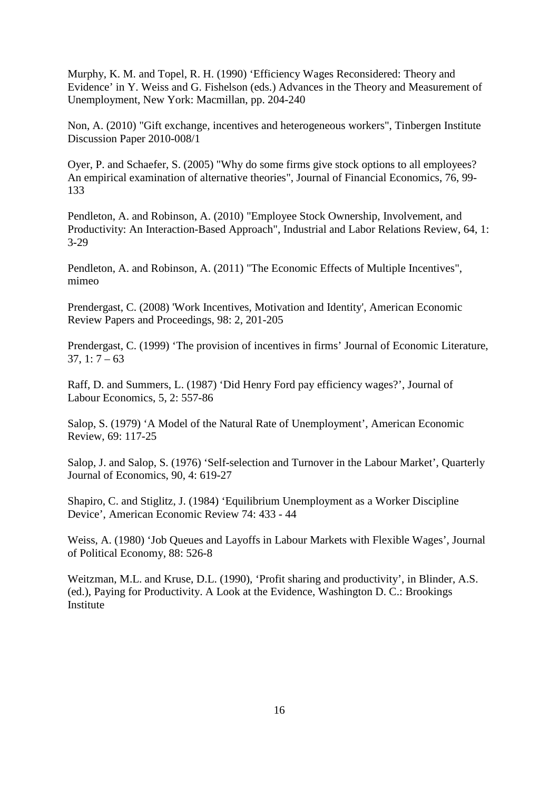Murphy, K. M. and Topel, R. H. (1990) 'Efficiency Wages Reconsidered: Theory and Evidence' in Y. Weiss and G. Fishelson (eds.) Advances in the Theory and Measurement of Unemployment, New York: Macmillan, pp. 204-240

Non, A. (2010) "Gift exchange, incentives and heterogeneous workers", Tinbergen Institute Discussion Paper 2010-008/1

Oyer, P. and Schaefer, S. (2005) "Why do some firms give stock options to all employees? An empirical examination of alternative theories", Journal of Financial Economics, 76, 99- 133

Pendleton, A. and Robinson, A. (2010) "Employee Stock Ownership, Involvement, and Productivity: An Interaction-Based Approach", Industrial and Labor Relations Review, 64, 1: 3-29

Pendleton, A. and Robinson, A. (2011) "The Economic Effects of Multiple Incentives", mimeo

Prendergast, C. (2008) 'Work Incentives, Motivation and Identity', American Economic Review Papers and Proceedings, 98: 2, 201-205

Prendergast, C. (1999) 'The provision of incentives in firms' Journal of Economic Literature,  $37, 1: 7 - 63$ 

Raff, D. and Summers, L. (1987) 'Did Henry Ford pay efficiency wages?', Journal of Labour Economics, 5, 2: 557-86

Salop, S. (1979) 'A Model of the Natural Rate of Unemployment', American Economic Review, 69: 117-25

Salop, J. and Salop, S. (1976) 'Self-selection and Turnover in the Labour Market', Quarterly Journal of Economics, 90, 4: 619-27

Shapiro, C. and Stiglitz, J. (1984) 'Equilibrium Unemployment as a Worker Discipline Device', American Economic Review 74: 433 - 44

Weiss, A. (1980) 'Job Queues and Layoffs in Labour Markets with Flexible Wages', Journal of Political Economy, 88: 526-8

Weitzman, M.L. and Kruse, D.L. (1990), 'Profit sharing and productivity', in Blinder, A.S. (ed.), Paying for Productivity. A Look at the Evidence, Washington D. C.: Brookings Institute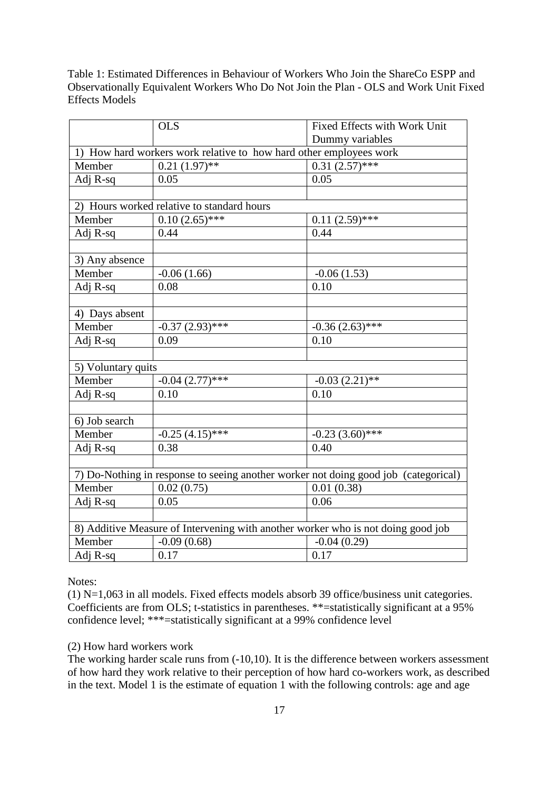Table 1: Estimated Differences in Behaviour of Workers Who Join the ShareCo ESPP and Observationally Equivalent Workers Who Do Not Join the Plan - OLS and Work Unit Fixed Effects Models

|                                                                                     | <b>OLS</b>        | Fixed Effects with Work Unit |  |  |  |
|-------------------------------------------------------------------------------------|-------------------|------------------------------|--|--|--|
|                                                                                     |                   | Dummy variables              |  |  |  |
| 1) How hard workers work relative to how hard other employees work                  |                   |                              |  |  |  |
| Member                                                                              | $0.21(1.97)$ **   | $0.31(2.57)$ ***             |  |  |  |
| Adj R-sq                                                                            | 0.05              | 0.05                         |  |  |  |
|                                                                                     |                   |                              |  |  |  |
| 2) Hours worked relative to standard hours                                          |                   |                              |  |  |  |
| Member                                                                              | $0.10(2.65)$ ***  | $0.11(2.59)$ ***             |  |  |  |
| Adj R-sq                                                                            | 0.44              | 0.44                         |  |  |  |
|                                                                                     |                   |                              |  |  |  |
| 3) Any absence                                                                      |                   |                              |  |  |  |
| Member                                                                              | $-0.06(1.66)$     | $-0.06(1.53)$                |  |  |  |
| Adj R-sq                                                                            | 0.08              | 0.10                         |  |  |  |
|                                                                                     |                   |                              |  |  |  |
| 4) Days absent                                                                      |                   |                              |  |  |  |
| Member                                                                              | $-0.37(2.93)$ *** | $-0.36(2.63)$ ***            |  |  |  |
| Adj R-sq                                                                            | 0.09              | 0.10                         |  |  |  |
|                                                                                     |                   |                              |  |  |  |
| 5) Voluntary quits                                                                  |                   |                              |  |  |  |
| Member                                                                              | $-0.04(2.77)$ *** | $-0.03(2.21)$ **             |  |  |  |
| Adj R-sq                                                                            | 0.10              | 0.10                         |  |  |  |
|                                                                                     |                   |                              |  |  |  |
| 6) Job search                                                                       |                   |                              |  |  |  |
| Member                                                                              | $-0.25(4.15)$ *** | $-0.23(3.60)$ ***            |  |  |  |
| Adj R-sq                                                                            | 0.38              | 0.40                         |  |  |  |
|                                                                                     |                   |                              |  |  |  |
| 7) Do-Nothing in response to seeing another worker not doing good job (categorical) |                   |                              |  |  |  |
| Member                                                                              | 0.02(0.75)        | 0.01(0.38)                   |  |  |  |
| Adj R-sq                                                                            | 0.05              | 0.06                         |  |  |  |
|                                                                                     |                   |                              |  |  |  |
| 8) Additive Measure of Intervening with another worker who is not doing good job    |                   |                              |  |  |  |
| Member                                                                              | $-0.09(0.68)$     | $-0.04(0.29)$                |  |  |  |
| Adj $R$ -sq                                                                         | 0.17              | 0.17                         |  |  |  |

<span id="page-17-0"></span>Notes:

(1) N=1,063 in all models. Fixed effects models absorb 39 office/business unit categories. Coefficients are from OLS; t-statistics in parentheses. \*\*=statistically significant at a 95% confidence level; \*\*\*=statistically significant at a 99% confidence level

## (2) How hard workers work

The working harder scale runs from (-10,10). It is the difference between workers assessment of how hard they work relative to their perception of how hard co-workers work, as described in the text. Model 1 is the estimate of equation 1 with the following controls: age and age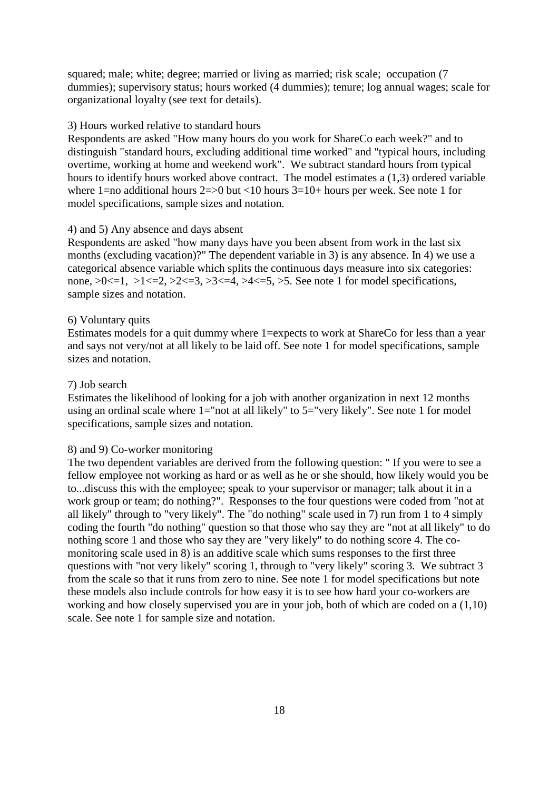squared; male; white; degree; married or living as married; risk scale; occupation (7) dummies); supervisory status; hours worked (4 dummies); tenure; log annual wages; scale for organizational loyalty (see text for details).

#### 3) Hours worked relative to standard hours

Respondents are asked "How many hours do you work for ShareCo each week?" and to distinguish "standard hours, excluding additional time worked" and "typical hours, including overtime, working at home and weekend work". We subtract standard hours from typical hours to identify hours worked above contract. The model estimates a (1,3) ordered variable where 1=no additional hours  $2=>0$  but <10 hours  $3=10+$  hours per week. See note 1 for model specifications, sample sizes and notation.

#### 4) and 5) Any absence and days absent

Respondents are asked "how many days have you been absent from work in the last six months (excluding vacation)?" The dependent variable in 3) is any absence. In 4) we use a categorical absence variable which splits the continuous days measure into six categories: none,  $>0<-1$ ,  $>1<-2$ ,  $>2<-3$ ,  $>3<-4$ ,  $>4<-5$ ,  $>5$ . See note 1 for model specifications, sample sizes and notation.

#### 6) Voluntary quits

Estimates models for a quit dummy where 1=expects to work at ShareCo for less than a year and says not very/not at all likely to be laid off. See note 1 for model specifications, sample sizes and notation.

### 7) Job search

Estimates the likelihood of looking for a job with another organization in next 12 months using an ordinal scale where 1="not at all likely" to 5="very likely". See note 1 for model specifications, sample sizes and notation.

### 8) and 9) Co-worker monitoring

The two dependent variables are derived from the following question: " If you were to see a fellow employee not working as hard or as well as he or she should, how likely would you be to...discuss this with the employee; speak to your supervisor or manager; talk about it in a work group or team; do nothing?". Responses to the four questions were coded from "not at all likely" through to "very likely". The "do nothing" scale used in 7) run from 1 to 4 simply coding the fourth "do nothing" question so that those who say they are "not at all likely" to do nothing score 1 and those who say they are "very likely" to do nothing score 4. The comonitoring scale used in 8) is an additive scale which sums responses to the first three questions with "not very likely" scoring 1, through to "very likely" scoring 3. We subtract 3 from the scale so that it runs from zero to nine. See note 1 for model specifications but note these models also include controls for how easy it is to see how hard your co-workers are working and how closely supervised you are in your job, both of which are coded on a (1,10) scale. See note 1 for sample size and notation.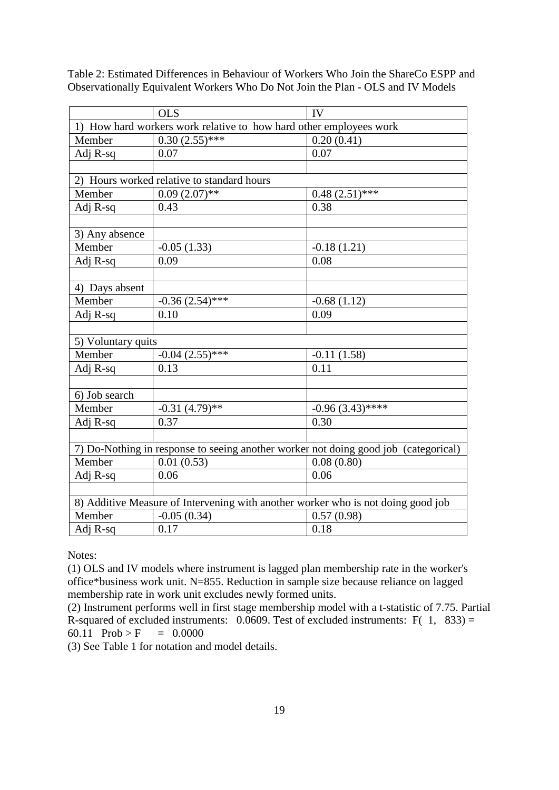|                                                                                     | <b>OLS</b>                                                         | <b>IV</b>          |  |  |  |
|-------------------------------------------------------------------------------------|--------------------------------------------------------------------|--------------------|--|--|--|
|                                                                                     | 1) How hard workers work relative to how hard other employees work |                    |  |  |  |
| Member                                                                              | $0.30(2.55)$ ***                                                   | 0.20(0.41)         |  |  |  |
| Adj R-sq                                                                            | 0.07                                                               | 0.07               |  |  |  |
|                                                                                     |                                                                    |                    |  |  |  |
|                                                                                     | 2) Hours worked relative to standard hours                         |                    |  |  |  |
| Member                                                                              | $0.09(2.07)$ **                                                    | $0.48(2.51)$ ***   |  |  |  |
| Adj R-sq                                                                            | 0.43                                                               | 0.38               |  |  |  |
|                                                                                     |                                                                    |                    |  |  |  |
| 3) Any absence                                                                      |                                                                    |                    |  |  |  |
| Member                                                                              | $-0.05(1.33)$                                                      | $-0.18(1.21)$      |  |  |  |
| Adj R-sq                                                                            | 0.09                                                               | 0.08               |  |  |  |
|                                                                                     |                                                                    |                    |  |  |  |
| 4) Days absent                                                                      |                                                                    |                    |  |  |  |
| Member                                                                              | $-0.36(2.54)$ ***                                                  | $-0.68(1.12)$      |  |  |  |
| Adj R-sq                                                                            | 0.10                                                               | 0.09               |  |  |  |
|                                                                                     |                                                                    |                    |  |  |  |
| 5) Voluntary quits                                                                  |                                                                    |                    |  |  |  |
| Member                                                                              | $-0.04$ $(2.55)$ ***                                               | $-0.11(1.58)$      |  |  |  |
| Adj R-sq                                                                            | 0.13                                                               | 0.11               |  |  |  |
|                                                                                     |                                                                    |                    |  |  |  |
| 6) Job search                                                                       |                                                                    |                    |  |  |  |
| Member                                                                              | $-0.31(4.79)$ **                                                   | $-0.96(3.43)$ **** |  |  |  |
| Adj R-sq                                                                            | 0.37                                                               | 0.30               |  |  |  |
|                                                                                     |                                                                    |                    |  |  |  |
| 7) Do-Nothing in response to seeing another worker not doing good job (categorical) |                                                                    |                    |  |  |  |
| Member                                                                              | 0.01(0.53)                                                         | 0.08(0.80)         |  |  |  |
| Adj R-sq                                                                            | 0.06                                                               | 0.06               |  |  |  |
|                                                                                     |                                                                    |                    |  |  |  |
| 8) Additive Measure of Intervening with another worker who is not doing good job    |                                                                    |                    |  |  |  |
| Member                                                                              | $-0.05(0.34)$                                                      | 0.57(0.98)         |  |  |  |
| Adj R-sq                                                                            | 0.17                                                               | 0.18               |  |  |  |

Table 2: Estimated Differences in Behaviour of Workers Who Join the ShareCo ESPP and Observationally Equivalent Workers Who Do Not Join the Plan - OLS and IV Models

Notes:

(1) OLS and IV models where instrument is lagged plan membership rate in the worker's office\*business work unit. N=855. Reduction in sample size because reliance on lagged membership rate in work unit excludes newly formed units.

(2) Instrument performs well in first stage membership model with a t-statistic of 7.75. Partial R-squared of excluded instruments:  $0.0609$ . Test of excluded instruments: F( 1, 833) = 60.11 Prob > F = 0.0000

(3) See Table 1 for notation and model details.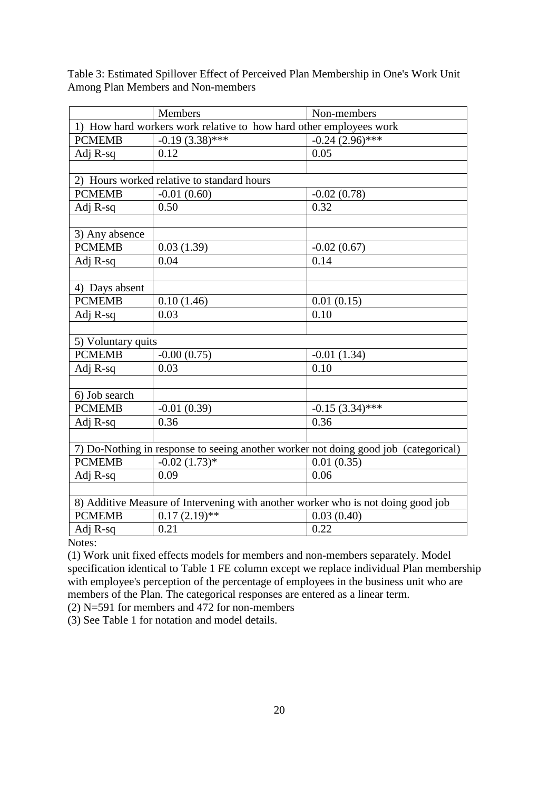|                                                                                     | Members                                    | Non-members       |  |  |  |  |  |
|-------------------------------------------------------------------------------------|--------------------------------------------|-------------------|--|--|--|--|--|
| 1) How hard workers work relative to how hard other employees work                  |                                            |                   |  |  |  |  |  |
| <b>PCMEMB</b>                                                                       | $-0.19(3.38)$ ***                          | $-0.24(2.96)$ *** |  |  |  |  |  |
| Adj R-sq                                                                            | 0.12                                       | 0.05              |  |  |  |  |  |
|                                                                                     |                                            |                   |  |  |  |  |  |
|                                                                                     | 2) Hours worked relative to standard hours |                   |  |  |  |  |  |
| <b>PCMEMB</b>                                                                       | $-0.01(0.60)$                              | $-0.02(0.78)$     |  |  |  |  |  |
| Adj R-sq                                                                            | 0.50                                       | 0.32              |  |  |  |  |  |
|                                                                                     |                                            |                   |  |  |  |  |  |
| 3) Any absence                                                                      |                                            |                   |  |  |  |  |  |
| <b>PCMEMB</b>                                                                       | 0.03(1.39)                                 | $-0.02(0.67)$     |  |  |  |  |  |
| Adj R-sq                                                                            | 0.04                                       | 0.14              |  |  |  |  |  |
|                                                                                     |                                            |                   |  |  |  |  |  |
| 4) Days absent                                                                      |                                            |                   |  |  |  |  |  |
| <b>PCMEMB</b>                                                                       | 0.10(1.46)                                 | 0.01(0.15)        |  |  |  |  |  |
| Adj R-sq                                                                            | 0.03                                       | 0.10              |  |  |  |  |  |
|                                                                                     |                                            |                   |  |  |  |  |  |
| 5) Voluntary quits                                                                  |                                            |                   |  |  |  |  |  |
| <b>PCMEMB</b>                                                                       | $-0.00(0.75)$                              | $-0.01(1.34)$     |  |  |  |  |  |
| Adj R-sq                                                                            | 0.03                                       | 0.10              |  |  |  |  |  |
|                                                                                     |                                            |                   |  |  |  |  |  |
| 6) Job search                                                                       |                                            |                   |  |  |  |  |  |
| <b>PCMEMB</b>                                                                       | $-0.01(0.39)$                              | $-0.15(3.34)$ *** |  |  |  |  |  |
| Adj R-sq                                                                            | 0.36                                       | 0.36              |  |  |  |  |  |
|                                                                                     |                                            |                   |  |  |  |  |  |
| 7) Do-Nothing in response to seeing another worker not doing good job (categorical) |                                            |                   |  |  |  |  |  |
| <b>PCMEMB</b>                                                                       | $-0.02(1.73)*$                             | 0.01(0.35)        |  |  |  |  |  |
| Adj R-sq                                                                            | 0.09                                       | 0.06              |  |  |  |  |  |
|                                                                                     |                                            |                   |  |  |  |  |  |
| 8) Additive Measure of Intervening with another worker who is not doing good job    |                                            |                   |  |  |  |  |  |
| <b>PCMEMB</b>                                                                       | $0.17(2.19)$ **                            | 0.03(0.40)        |  |  |  |  |  |
| Adj R-sq                                                                            | 0.21                                       | 0.22              |  |  |  |  |  |

Table 3: Estimated Spillover Effect of Perceived Plan Membership in One's Work Unit Among Plan Members and Non-members

Notes:

(1) Work unit fixed effects models for members and non-members separately. Model specification identical to Table 1 FE column except we replace individual Plan membership with employee's perception of the percentage of employees in the business unit who are members of the Plan. The categorical responses are entered as a linear term.

(2) N=591 for members and  $472$  for non-members

(3) See Table 1 for notation and model details.